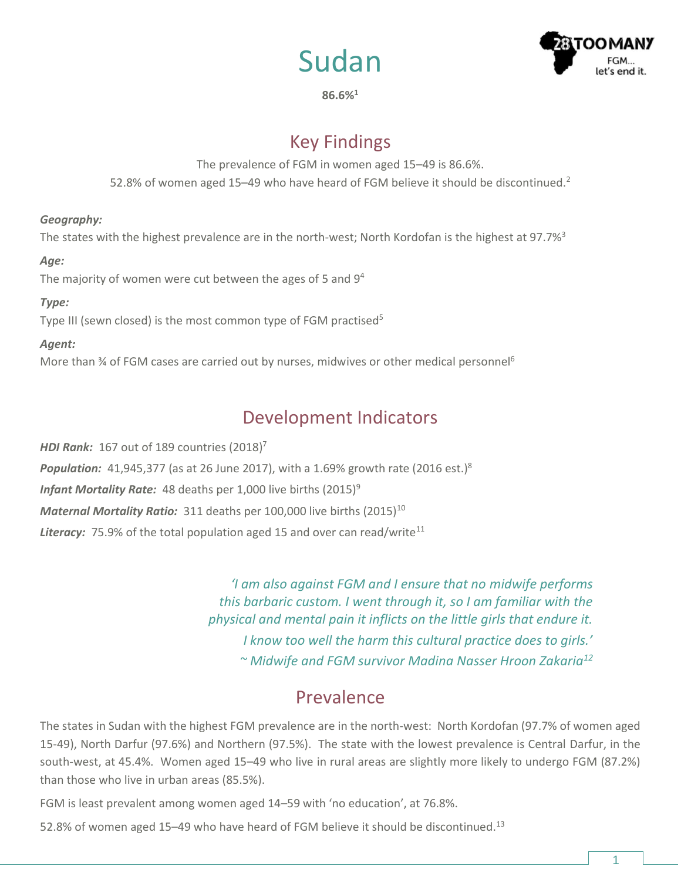



**86.6%<sup>1</sup>**

# Key Findings

The prevalence of FGM in women aged 15–49 is 86.6%. 52.8% of women aged 15–49 who have heard of FGM believe it should be discontinued.<sup>2</sup>

#### *Geography:*

The states with the highest prevalence are in the north-west; North Kordofan is the highest at 97.7%<sup>3</sup>

#### *Age:*

The majority of women were cut between the ages of 5 and 9<sup>4</sup>

### *Type:*

Type III (sewn closed) is the most common type of FGM practised<sup>5</sup>

#### *Agent:*

More than  $\frac{3}{4}$  of FGM cases are carried out by nurses, midwives or other medical personnel<sup>6</sup>

# Development Indicators

*HDI Rank:* 167 out of 189 countries (2018) 7 **Population:** 41,945,377 (as at 26 June 2017), with a 1.69% growth rate (2016 est.)<sup>8</sup> *Infant Mortality Rate:* 48 deaths per 1,000 live births (2015)<sup>9</sup> *Maternal Mortality Ratio:* 311 deaths per 100,000 live births (2015)<sup>10</sup> **Literacy:** 75.9% of the total population aged 15 and over can read/write<sup>11</sup>

> *'I am also against FGM and I ensure that no midwife performs this barbaric custom. I went through it, so I am familiar with the physical and mental pain it inflicts on the little girls that endure it. I know too well the harm this cultural practice does to girls.' ~ Midwife and FGM survivor Madina Nasser Hroon Zakaria<sup>12</sup>*

## Prevalence

The states in Sudan with the highest FGM prevalence are in the north-west: North Kordofan (97.7% of women aged 15-49), North Darfur (97.6%) and Northern (97.5%). The state with the lowest prevalence is Central Darfur, in the south-west, at 45.4%. Women aged 15–49 who live in rural areas are slightly more likely to undergo FGM (87.2%) than those who live in urban areas (85.5%).

FGM is least prevalent among women aged 14–59 with 'no education', at 76.8%.

52.8% of women aged 15-49 who have heard of FGM believe it should be discontinued.<sup>13</sup>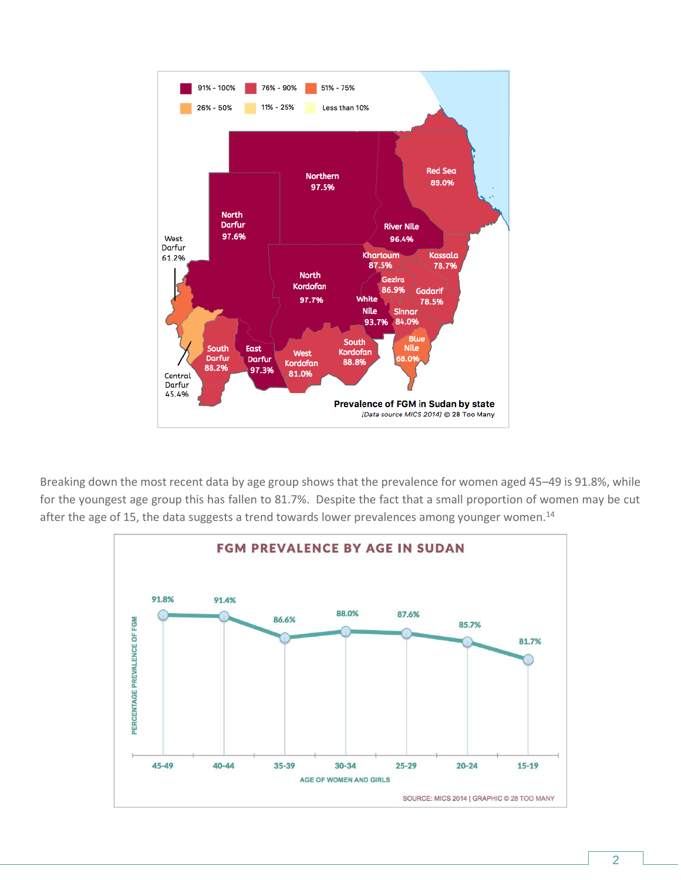

Breaking down the most recent data by age group shows that the prevalence for women aged 45–49 is 91.8%, while for the youngest age group this has fallen to 81.7%. Despite the fact that a small proportion of women may be cut after the age of 15, the data suggests a trend towards lower prevalences among younger women.<sup>14</sup>